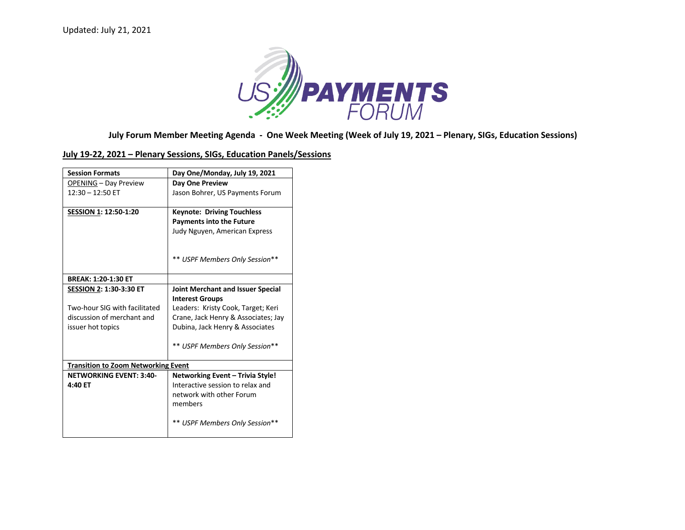

## **July Forum Member Meeting Agenda - One Week Meeting (Week of July 19, 2021 – Plenary, SIGs, Education Sessions)**

## **July 19-22, 2021 – Plenary Sessions, SIGs, Education Panels/Sessions**

| <b>Session Formats</b>                     | Day One/Monday, July 19, 2021       |
|--------------------------------------------|-------------------------------------|
| <b>OPENING - Day Preview</b>               | Day One Preview                     |
| $12:30 - 12:50$ ET                         | Jason Bohrer, US Payments Forum     |
|                                            |                                     |
| SESSION 1: 12:50-1:20                      | <b>Keynote: Driving Touchless</b>   |
|                                            | <b>Payments into the Future</b>     |
|                                            | Judy Nguyen, American Express       |
|                                            |                                     |
|                                            |                                     |
|                                            | ** USPF Members Only Session**      |
|                                            |                                     |
| <b>BREAK: 1:20-1:30 ET</b>                 |                                     |
| <b>SESSION 2: 1:30-3:30 ET</b>             | Joint Merchant and Issuer Special   |
|                                            | <b>Interest Groups</b>              |
| Two-hour SIG with facilitated              | Leaders: Kristy Cook, Target; Keri  |
| discussion of merchant and                 | Crane, Jack Henry & Associates; Jay |
| issuer hot topics                          | Dubina, Jack Henry & Associates     |
|                                            |                                     |
|                                            | ** USPF Members Only Session**      |
|                                            |                                     |
| <b>Transition to Zoom Networking Event</b> |                                     |
| <b>NETWORKING EVENT: 3:40-</b>             | Networking Event - Trivia Style!    |
| 4:40 ET                                    | Interactive session to relax and    |
|                                            | network with other Forum            |
|                                            | members                             |
|                                            |                                     |
|                                            | ** USPF Members Only Session**      |
|                                            |                                     |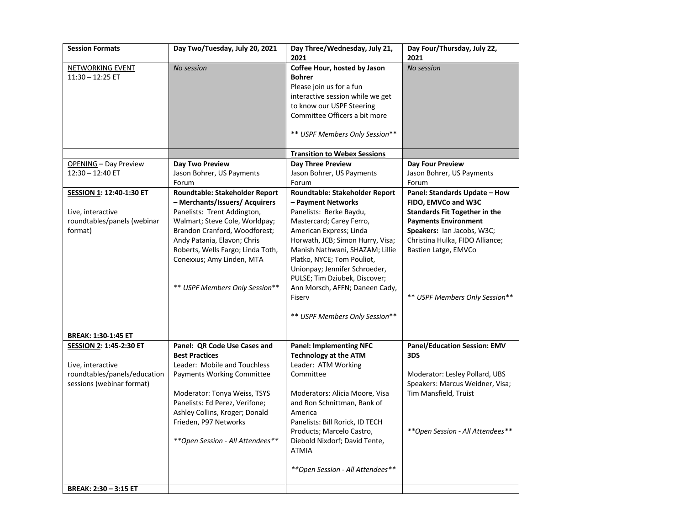| <b>Session Formats</b>                                                                                    | Day Two/Tuesday, July 20, 2021                                                                                                                                                                                                                                                                        | Day Three/Wednesday, July 21,<br>2021                                                                                                                                                                                                                                                                                                                                                       | Day Four/Thursday, July 22,<br>2021                                                                                                                                                                                                                    |
|-----------------------------------------------------------------------------------------------------------|-------------------------------------------------------------------------------------------------------------------------------------------------------------------------------------------------------------------------------------------------------------------------------------------------------|---------------------------------------------------------------------------------------------------------------------------------------------------------------------------------------------------------------------------------------------------------------------------------------------------------------------------------------------------------------------------------------------|--------------------------------------------------------------------------------------------------------------------------------------------------------------------------------------------------------------------------------------------------------|
| <b>NETWORKING EVENT</b><br>$11:30 - 12:25$ ET                                                             | No session                                                                                                                                                                                                                                                                                            | Coffee Hour, hosted by Jason<br><b>Bohrer</b><br>Please join us for a fun<br>interactive session while we get<br>to know our USPF Steering<br>Committee Officers a bit more<br>** USPF Members Only Session**                                                                                                                                                                               | No session                                                                                                                                                                                                                                             |
|                                                                                                           |                                                                                                                                                                                                                                                                                                       | <b>Transition to Webex Sessions</b>                                                                                                                                                                                                                                                                                                                                                         |                                                                                                                                                                                                                                                        |
| OPENING - Day Preview<br>$12:30 - 12:40$ ET                                                               | Day Two Preview<br>Jason Bohrer, US Payments<br>Forum                                                                                                                                                                                                                                                 | Day Three Preview<br>Jason Bohrer, US Payments<br>Forum                                                                                                                                                                                                                                                                                                                                     | Day Four Preview<br>Jason Bohrer, US Payments<br>Forum                                                                                                                                                                                                 |
| SESSION 1: 12:40-1:30 ET<br>Live, interactive<br>roundtables/panels (webinar<br>format)                   | Roundtable: Stakeholder Report<br>- Merchants/Issuers/ Acquirers<br>Panelists: Trent Addington,<br>Walmart; Steve Cole, Worldpay;<br>Brandon Cranford, Woodforest;<br>Andy Patania, Elavon; Chris<br>Roberts, Wells Fargo; Linda Toth,<br>Conexxus; Amy Linden, MTA<br>** USPF Members Only Session** | Roundtable: Stakeholder Report<br>- Payment Networks<br>Panelists: Berke Baydu,<br>Mastercard; Carey Ferro,<br>American Express; Linda<br>Horwath, JCB; Simon Hurry, Visa;<br>Manish Nathwani, SHAZAM; Lillie<br>Platko, NYCE; Tom Pouliot,<br>Unionpay; Jennifer Schroeder,<br>PULSE; Tim Dziubek, Discover;<br>Ann Morsch, AFFN; Daneen Cady,<br>Fiserv<br>** USPF Members Only Session** | Panel: Standards Update - How<br>FIDO, EMVCo and W3C<br><b>Standards Fit Together in the</b><br><b>Payments Environment</b><br>Speakers: Ian Jacobs, W3C;<br>Christina Hulka, FIDO Alliance;<br>Bastien Latge, EMVCo<br>** USPF Members Only Session** |
| <b>BREAK: 1:30-1:45 ET</b>                                                                                |                                                                                                                                                                                                                                                                                                       |                                                                                                                                                                                                                                                                                                                                                                                             |                                                                                                                                                                                                                                                        |
| SESSION 2: 1:45-2:30 ET<br>Live, interactive<br>roundtables/panels/education<br>sessions (webinar format) | Panel: QR Code Use Cases and<br><b>Best Practices</b><br>Leader: Mobile and Touchless<br><b>Payments Working Committee</b><br>Moderator: Tonya Weiss, TSYS<br>Panelists: Ed Perez, Verifone;<br>Ashley Collins, Kroger; Donald<br>Frieden, P97 Networks<br>** Open Session - All Attendees**          | <b>Panel: Implementing NFC</b><br><b>Technology at the ATM</b><br>Leader: ATM Working<br>Committee<br>Moderators: Alicia Moore, Visa<br>and Ron Schnittman, Bank of<br>America<br>Panelists: Bill Rorick, ID TECH<br>Products; Marcelo Castro,<br>Diebold Nixdorf; David Tente,<br>ATMIA<br>**Open Session - All Attendees**                                                                | <b>Panel/Education Session: EMV</b><br>3DS<br>Moderator: Lesley Pollard, UBS<br>Speakers: Marcus Weidner, Visa;<br>Tim Mansfield, Truist<br>**Open Session - All Attendees**                                                                           |
| BREAK: 2:30 - 3:15 ET                                                                                     |                                                                                                                                                                                                                                                                                                       |                                                                                                                                                                                                                                                                                                                                                                                             |                                                                                                                                                                                                                                                        |